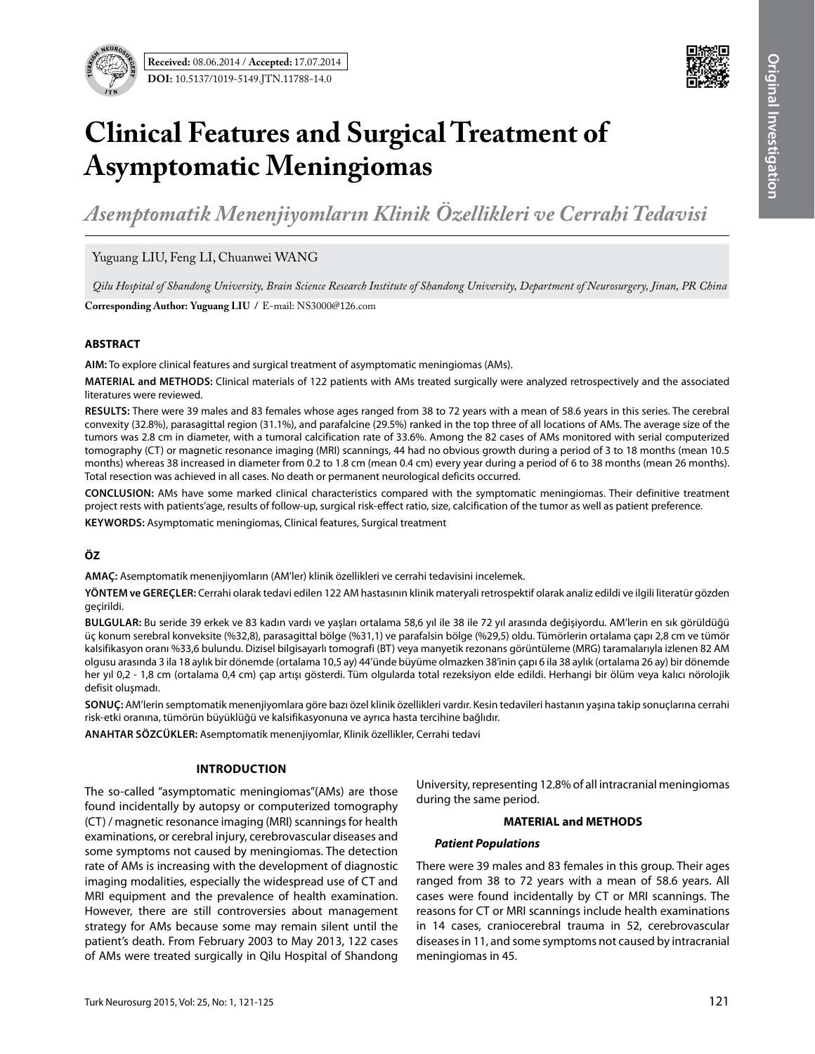

# **Clinical Features and Surgical Treatment of Asymptomatic Meningiomas**

*Asemptomatik Menenjiyomların Klinik Özellikleri ve Cerrahi Tedavisi*

Yuguang LIU, Feng LI, Chuanwei WANG

*Qilu Hospital of Shandong University, Brain Science Research Institute of Shandong University, Department of Neurosurgery, Jinan, PR China*

**Corresponding Author: Yuguang LIu /** E-mail: NS3000@126.com

# **ABSTRACT**

**AIm:** To explore clinical features and surgical treatment of asymptomatic meningiomas (AMs).

**MaterIal and Methods:** Clinical materials of 122 patients with AMs treated surgically were analyzed retrospectively and the associated literatures were reviewed.

**Results:** There were 39 males and 83 females whose ages ranged from 38 to 72 years with a mean of 58.6 years in this series. The cerebral convexity (32.8%), parasagittal region (31.1%), and parafalcine (29.5%) ranked in the top three of all locations of AMs. The average size of the tumors was 2.8 cm in diameter, with a tumoral calcification rate of 33.6%. Among the 82 cases of AMs monitored with serial computerized tomography (CT) or magnetic resonance imaging (MRI) scannings, 44 had no obvious growth during a period of 3 to 18 months (mean 10.5 months) whereas 38 increased in diameter from 0.2 to 1.8 cm (mean 0.4 cm) every year during a period of 6 to 38 months (mean 26 months). Total resection was achieved in all cases. No death or permanent neurological deficits occurred.

**ConclusIon:** AMs have some marked clinical characteristics compared with the symptomatic meningiomas. Their definitive treatment project rests with patients'age, results of follow-up, surgical risk-effect ratio, size, calcification of the tumor as well as patient preference.

**Keywords:** Asymptomatic meningiomas, Clinical features, Surgical treatment

# **ÖZ**

**AMAÇ:** Asemptomatik menenjiyomların (AM'ler) klinik özellikleri ve cerrahi tedavisini incelemek.

**YÖNTEM ve GEREÇLER:** Cerrahi olarak tedavi edilen 122 AM hastasının klinik materyali retrospektif olarak analiz edildi ve ilgili literatür gözden geçirildi.

**BULGULAR:** Bu seride 39 erkek ve 83 kadın vardı ve yaşları ortalama 58,6 yıl ile 38 ile 72 yıl arasında değişiyordu. AM'lerin en sık görüldüğü üç konum serebral konveksite (%32,8), parasagittal bölge (%31,1) ve parafalsin bölge (%29,5) oldu. Tümörlerin ortalama çapı 2,8 cm ve tümör kalsifikasyon oranı %33,6 bulundu. Dizisel bilgisayarlı tomografi (BT) veya manyetik rezonans görüntüleme (MRG) taramalarıyla izlenen 82 AM olgusu arasında 3 ila 18 aylık bir dönemde (ortalama 10,5 ay) 44'ünde büyüme olmazken 38'inin çapı 6 ila 38 aylık (ortalama 26 ay) bir dönemde her yıl 0,2 - 1,8 cm (ortalama 0,4 cm) çap artışı gösterdi. Tüm olgularda total rezeksiyon elde edildi. Herhangi bir ölüm veya kalıcı nörolojik defisit oluşmadı.

**SONUÇ:** AM'lerin semptomatik menenjiyomlara göre bazı özel klinik özellikleri vardır. Kesin tedavileri hastanın yaşına takip sonuçlarına cerrahi risk-etki oranına, tümörün büyüklüğü ve kalsifikasyonuna ve ayrıca hasta tercihine bağlıdır.

**ANAHTAR SÖZCÜKLER:** Asemptomatik menenjiyomlar, Klinik özellikler, Cerrahi tedavi

# **Introduction**

The so-called "asymptomatic meningiomas"(AMs) are those found incidentally by autopsy or computerized tomography (CT) / magnetic resonance imaging (MRI) scannings for health examinations, or cerebral injury, cerebrovascular diseases and some symptoms not caused by meningiomas. The detection rate of AMs is increasing with the development of diagnostic imaging modalities, especially the widespread use of CT and MRI equipment and the prevalence of health examination. However, there are still controversies about management strategy for AMs because some may remain silent until the patient's death. From February 2003 to May 2013, 122 cases of AMs were treated surgically in Qilu Hospital of Shandong

University, representing 12.8% of all intracranial meningiomas during the same period.

#### **MATERIAL and METHODS**

#### *Patient Populations*

There were 39 males and 83 females in this group. Their ages ranged from 38 to 72 years with a mean of 58.6 years. All cases were found incidentally by CT or MRI scannings. The reasons for CT or MRI scannings include health examinations in 14 cases, craniocerebral trauma in 52, cerebrovascular diseases in 11, and some symptoms not caused by intracranial meningiomas in 45.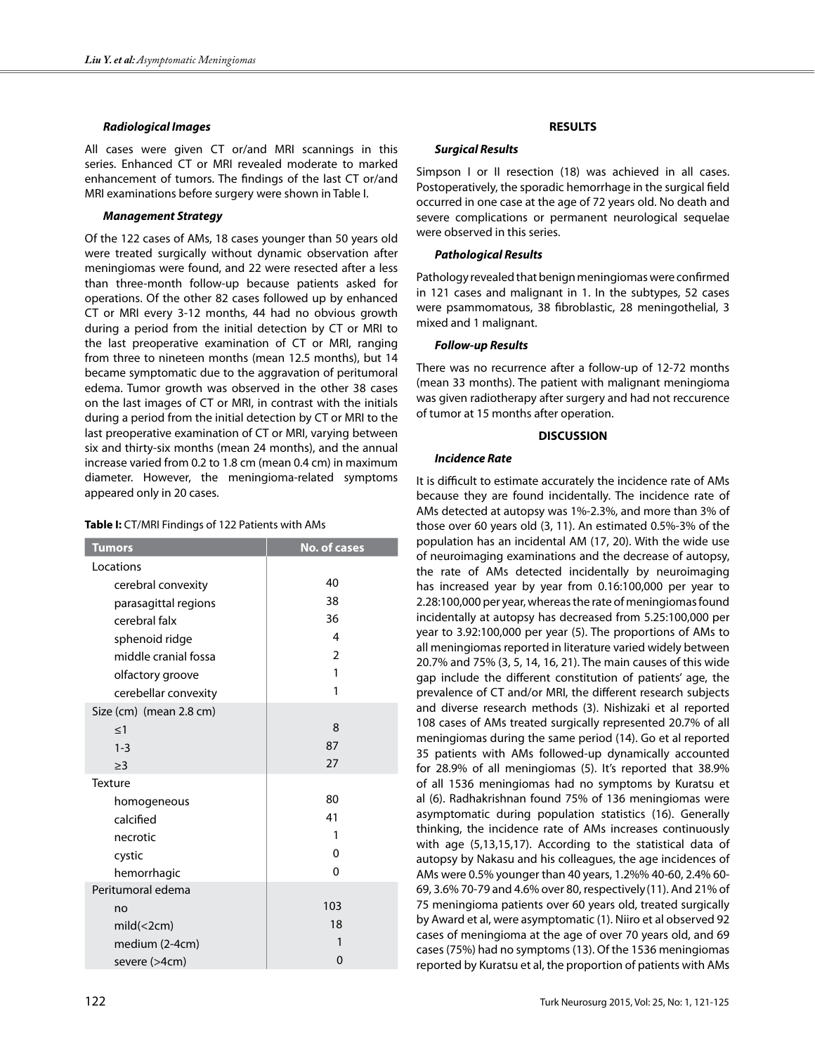### *Radiological Images*

All cases were given CT or/and MRI scannings in this series. Enhanced CT or MRI revealed moderate to marked enhancement of tumors. The findings of the last CT or/and MRI examinations before surgery were shown in Table I.

# *Management Strategy*

Of the 122 cases of AMs, 18 cases younger than 50 years old were treated surgically without dynamic observation after meningiomas were found, and 22 were resected after a less than three-month follow-up because patients asked for operations. Of the other 82 cases followed up by enhanced CT or MRI every 3-12 months, 44 had no obvious growth during a period from the initial detection by CT or MRI to the last preoperative examination of CT or MRI, ranging from three to nineteen months (mean 12.5 months), but 14 became symptomatic due to the aggravation of peritumoral edema. Tumor growth was observed in the other 38 cases on the last images of CT or MRI, in contrast with the initials during a period from the initial detection by CT or MRI to the last preoperative examination of CT or MRI, varying between six and thirty-six months (mean 24 months), and the annual increase varied from 0.2 to 1.8 cm (mean 0.4 cm) in maximum diameter. However, the meningioma-related symptoms appeared only in 20 cases.

#### **Table I:** CT/MRI Findings of 122 Patients with AMs

| <b>Tumors</b>           | <b>No. of cases</b> |
|-------------------------|---------------------|
| Locations               |                     |
| cerebral convexity      | 40                  |
| parasagittal regions    | 38                  |
| cerebral falx           | 36                  |
|                         | 4                   |
| sphenoid ridge          | $\overline{2}$      |
| middle cranial fossa    | 1                   |
| olfactory groove        | 1                   |
| cerebellar convexity    |                     |
| Size (cm) (mean 2.8 cm) |                     |
| $<$ 1                   | 8                   |
| $1 - 3$                 | 87                  |
| $\geq$ 3                | 27                  |
| <b>Texture</b>          |                     |
| homogeneous             | 80                  |
| calcified               | 41                  |
| necrotic                | 1                   |
| cystic                  | $\Omega$            |
| hemorrhagic             | $\Omega$            |
| Peritumoral edema       |                     |
| no                      | 103                 |
| $mid(<$ 2cm)            | 18                  |
| medium (2-4cm)          | 1                   |
| severe (>4cm)           | 0                   |

# **RESULTS**

### *Surgical Results*

Simpson I or II resection (18) was achieved in all cases. Postoperatively, the sporadic hemorrhage in the surgical field occurred in one case at the age of 72 years old. No death and severe complications or permanent neurological sequelae were observed in this series.

# *Pathological Results*

Pathology revealed that benign meningiomas were confirmed in 121 cases and malignant in 1. In the subtypes, 52 cases were psammomatous, 38 fibroblastic, 28 meningothelial, 3 mixed and 1 malignant.

# *Follow-up Results*

There was no recurrence after a follow-up of 12-72 months (mean 33 months). The patient with malignant meningioma was given radiotherapy after surgery and had not reccurence of tumor at 15 months after operation.

# **DISCUSSION**

# *Incidence Rate*

It is difficult to estimate accurately the incidence rate of AMs because they are found incidentally. The incidence rate of AMs detected at autopsy was 1%-2.3%, and more than 3% of those over 60 years old (3, 11). An estimated 0.5%-3% of the population has an incidental AM (17, 20). With the wide use of neuroimaging examinations and the decrease of autopsy, the rate of AMs detected incidentally by neuroimaging has increased year by year from 0.16:100,000 per year to 2.28:100,000 per year, whereas the rate of meningiomas found incidentally at autopsy has decreased from 5.25:100,000 per year to 3.92:100,000 per year (5). The proportions of AMs to all meningiomas reported in literature varied widely between 20.7% and 75% (3, 5, 14, 16, 21). The main causes of this wide gap include the different constitution of patients' age, the prevalence of CT and/or MRI, the different research subjects and diverse research methods (3). Nishizaki et al reported 108 cases of AMs treated surgically represented 20.7% of all meningiomas during the same period (14). Go et al reported 35 patients with AMs followed-up dynamically accounted for 28.9% of all meningiomas (5). It's reported that 38.9% of all 1536 meningiomas had no symptoms by Kuratsu et al (6). Radhakrishnan found 75% of 136 meningiomas were asymptomatic during population statistics (16). Generally thinking, the incidence rate of AMs increases continuously with age (5,13,15,17). According to the statistical data of autopsy by Nakasu and his colleagues, the age incidences of AMs were 0.5% younger than 40 years, 1.2%% 40-60, 2.4% 60- 69, 3.6% 70-79 and 4.6% over 80, respectively(11). And 21% of 75 meningioma patients over 60 years old, treated surgically by Award et al, were asymptomatic (1). Niiro et al observed 92 cases of meningioma at the age of over 70 years old, and 69 cases (75%) had no symptoms (13). Of the 1536 meningiomas reported by Kuratsu et al, the proportion of patients with AMs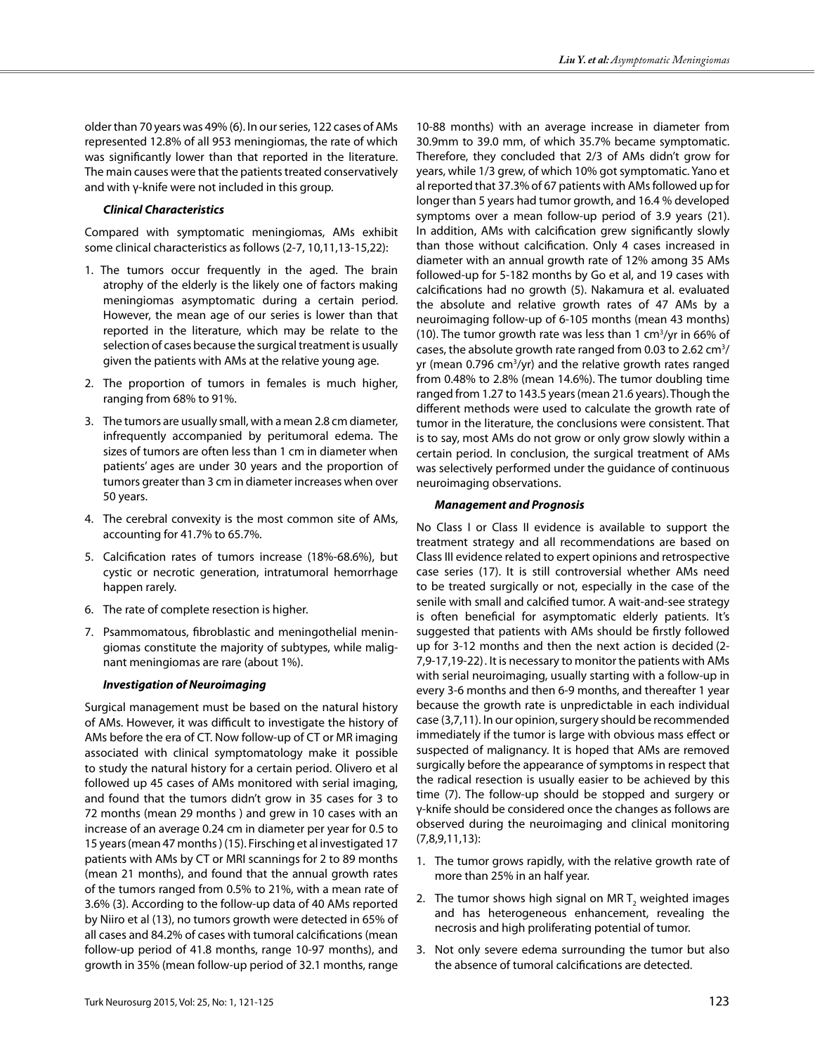older than 70 years was 49% (6). In our series, 122 cases of AMs represented 12.8% of all 953 meningiomas, the rate of which was significantly lower than that reported in the literature. The main causes were that the patients treated conservatively and with γ-knife were not included in this group.

### *Clinical Characteristics*

Compared with symptomatic meningiomas, AMs exhibit some clinical characteristics as follows (2-7, 10,11,13-15,22):

- 1. The tumors occur frequently in the aged. The brain atrophy of the elderly is the likely one of factors making meningiomas asymptomatic during a certain period. However, the mean age of our series is lower than that reported in the literature, which may be relate to the selection of cases because the surgical treatment is usually given the patients with AMs at the relative young age.
- 2. The proportion of tumors in females is much higher, ranging from 68% to 91%.
- 3. The tumors are usually small, with a mean 2.8 cm diameter, infrequently accompanied by peritumoral edema. The sizes of tumors are often less than 1 cm in diameter when patients' ages are under 30 years and the proportion of tumors greater than 3 cm in diameter increases when over 50 years.
- 4. The cerebral convexity is the most common site of AMs, accounting for 41.7% to 65.7%.
- 5. Calcification rates of tumors increase (18%-68.6%), but cystic or necrotic generation, intratumoral hemorrhage happen rarely.
- 6. The rate of complete resection is higher.
- 7. Psammomatous, fibroblastic and meningothelial meningiomas constitute the majority of subtypes, while malignant meningiomas are rare (about 1%).

#### *Investigation of Neuroimaging*

Surgical management must be based on the natural history of AMs. However, it was difficult to investigate the history of AMs before the era of CT. Now follow-up of CT or MR imaging associated with clinical symptomatology make it possible to study the natural history for a certain period. Olivero et al followed up 45 cases of AMs monitored with serial imaging, and found that the tumors didn't grow in 35 cases for 3 to 72 months (mean 29 months ) and grew in 10 cases with an increase of an average 0.24 cm in diameter per year for 0.5 to 15 years (mean 47 months ) (15). Firsching et al investigated 17 patients with AMs by CT or MRI scannings for 2 to 89 months (mean 21 months), and found that the annual growth rates of the tumors ranged from 0.5% to 21%, with a mean rate of 3.6% (3). According to the follow-up data of 40 AMs reported by Niiro et al (13), no tumors growth were detected in 65% of all cases and 84.2% of cases with tumoral calcifications (mean follow-up period of 41.8 months, range 10-97 months), and growth in 35% (mean follow-up period of 32.1 months, range

10-88 months) with an average increase in diameter from 30.9mm to 39.0 mm, of which 35.7% became symptomatic. Therefore, they concluded that 2/3 of AMs didn't grow for years, while 1/3 grew, of which 10% got symptomatic. Yano et al reported that 37.3% of 67 patients with AMs followed up for longer than 5 years had tumor growth, and 16.4 % developed symptoms over a mean follow-up period of 3.9 years (21). In addition, AMs with calcification grew significantly slowly than those without calcification. Only 4 cases increased in diameter with an annual growth rate of 12% among 35 AMs followed-up for 5-182 months by Go et al, and 19 cases with calcifications had no growth (5). Nakamura et al. evaluated the absolute and relative growth rates of 47 AMs by a neuroimaging follow-up of 6-105 months (mean 43 months) (10). The tumor growth rate was less than 1 cm3 /yr in 66% of cases, the absolute growth rate ranged from 0.03 to 2.62  $cm<sup>3</sup>/$ yr (mean 0.796 cm<sup>3</sup>/yr) and the relative growth rates ranged from 0.48% to 2.8% (mean 14.6%). The tumor doubling time ranged from 1.27 to 143.5 years (mean 21.6 years). Though the different methods were used to calculate the growth rate of tumor in the literature, the conclusions were consistent. That is to say, most AMs do not grow or only grow slowly within a certain period. In conclusion, the surgical treatment of AMs was selectively performed under the guidance of continuous neuroimaging observations.

### *Management and Prognosis*

No Class I or Class II evidence is available to support the treatment strategy and all recommendations are based on Class III evidence related to expert opinions and retrospective case series (17). It is still controversial whether AMs need to be treated surgically or not, especially in the case of the senile with small and calcified tumor. A wait-and-see strategy is often beneficial for asymptomatic elderly patients. It's suggested that patients with AMs should be firstly followed up for 3-12 months and then the next action is decided (2- 7,9-17,19-22). It is necessary to monitor the patients with AMs with serial neuroimaging, usually starting with a follow-up in every 3-6 months and then 6-9 months, and thereafter 1 year because the growth rate is unpredictable in each individual case (3,7,11). In our opinion, surgery should be recommended immediately if the tumor is large with obvious mass effect or suspected of malignancy. It is hoped that AMs are removed surgically before the appearance of symptoms in respect that the radical resection is usually easier to be achieved by this time (7). The follow-up should be stopped and surgery or γ-knife should be considered once the changes as follows are observed during the neuroimaging and clinical monitoring (7,8,9,11,13):

- 1. The tumor grows rapidly, with the relative growth rate of more than 25% in an half year.
- 2. The tumor shows high signal on MR  $T_{2}$  weighted images and has heterogeneous enhancement, revealing the necrosis and high proliferating potential of tumor.
- 3. Not only severe edema surrounding the tumor but also the absence of tumoral calcifications are detected.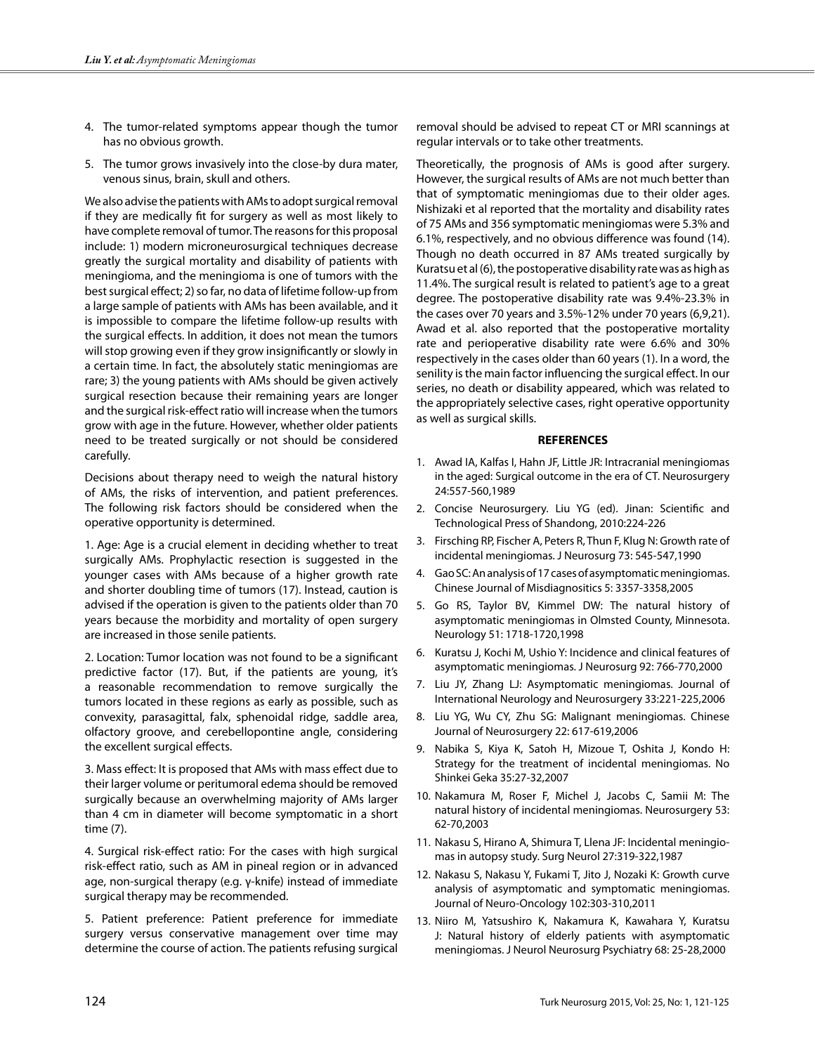- 4. The tumor-related symptoms appear though the tumor has no obvious growth.
- 5. The tumor grows invasively into the close-by dura mater, venous sinus, brain, skull and others.

We also advise the patients with AMs to adopt surgical removal if they are medically fit for surgery as well as most likely to have complete removal of tumor. The reasons for this proposal include: 1) modern microneurosurgical techniques decrease greatly the surgical mortality and disability of patients with meningioma, and the meningioma is one of tumors with the best surgical effect; 2) so far, no data of lifetime follow-up from a large sample of patients with AMs has been available, and it is impossible to compare the lifetime follow-up results with the surgical effects. In addition, it does not mean the tumors will stop growing even if they grow insignificantly or slowly in a certain time. In fact, the absolutely static meningiomas are rare; 3) the young patients with AMs should be given actively surgical resection because their remaining years are longer and the surgical risk-effect ratio will increase when the tumors grow with age in the future. However, whether older patients need to be treated surgically or not should be considered carefully.

Decisions about therapy need to weigh the natural history of AMs, the risks of intervention, and patient preferences. The following risk factors should be considered when the operative opportunity is determined.

1. Age: Age is a crucial element in deciding whether to treat surgically AMs. Prophylactic resection is suggested in the younger cases with AMs because of a higher growth rate and shorter doubling time of tumors (17). Instead, caution is advised if the operation is given to the patients older than 70 years because the morbidity and mortality of open surgery are increased in those senile patients.

2. Location: Tumor location was not found to be a significant predictive factor (17). But, if the patients are young, it's a reasonable recommendation to remove surgically the tumors located in these regions as early as possible, such as convexity, parasagittal, falx, sphenoidal ridge, saddle area, olfactory groove, and cerebellopontine angle, considering the excellent surgical effects.

3. Mass effect: It is proposed that AMs with mass effect due to their larger volume or peritumoral edema should be removed surgically because an overwhelming majority of AMs larger than 4 cm in diameter will become symptomatic in a short time (7).

4. Surgical risk-effect ratio: For the cases with high surgical risk-effect ratio, such as AM in pineal region or in advanced age, non-surgical therapy (e.g. γ-knife) instead of immediate surgical therapy may be recommended.

5. Patient preference: Patient preference for immediate surgery versus conservative management over time may determine the course of action. The patients refusing surgical

removal should be advised to repeat CT or MRI scannings at regular intervals or to take other treatments.

Theoretically, the prognosis of AMs is good after surgery. However, the surgical results of AMs are not much better than that of symptomatic meningiomas due to their older ages. Nishizaki et al reported that the mortality and disability rates of 75 AMs and 356 symptomatic meningiomas were 5.3% and 6.1%, respectively, and no obvious difference was found (14). Though no death occurred in 87 AMs treated surgically by Kuratsu et al (6), the postoperative disability rate was as high as 11.4%. The surgical result is related to patient's age to a great degree. The postoperative disability rate was 9.4%-23.3% in the cases over 70 years and 3.5%-12% under 70 years (6,9,21). Awad et al. also reported that the postoperative mortality rate and perioperative disability rate were 6.6% and 30% respectively in the cases older than 60 years (1). In a word, the senility is the main factor influencing the surgical effect. In our series, no death or disability appeared, which was related to the appropriately selective cases, right operative opportunity as well as surgical skills.

#### **REFERENCES**

- 1. Awad IA, Kalfas I, Hahn JF, Little JR: Intracranial meningiomas in the aged: Surgical outcome in the era of CT. Neurosurgery 24:557-560,1989
- 2. Concise Neurosurgery. Liu YG (ed). Jinan: Scientific and Technological Press of Shandong, 2010:224-226
- 3. Firsching RP, Fischer A, Peters R, Thun F, Klug N: Growth rate of incidental meningiomas. J Neurosurg 73: 545-547,1990
- 4. Gao SC: An analysis of 17 cases of asymptomatic meningiomas. Chinese Journal of Misdiagnositics 5: 3357-3358,2005
- 5. Go RS, Taylor BV, Kimmel DW: The natural history of asymptomatic meningiomas in Olmsted County, Minnesota. Neurology 51: 1718-1720,1998
- 6. Kuratsu J, Kochi M, Ushio Y: Incidence and clinical features of asymptomatic meningiomas. J Neurosurg 92: 766-770,2000
- 7. Liu JY, Zhang LJ: Asymptomatic meningiomas. Journal of International Neurology and Neurosurgery 33:221-225,2006
- 8. Liu YG, Wu CY, Zhu SG: Malignant meningiomas. Chinese Journal of Neurosurgery 22: 617-619,2006
- 9. Nabika S, Kiya K, Satoh H, Mizoue T, Oshita J, Kondo H: Strategy for the treatment of incidental meningiomas. No Shinkei Geka 35:27-32,2007
- 10. Nakamura M, Roser F, Michel J, Jacobs C, Samii M: The natural history of incidental meningiomas. Neurosurgery 53: 62-70,2003
- 11. Nakasu S, Hirano A, Shimura T, Llena JF: Incidental meningiomas in autopsy study. Surg Neurol 27:319-322,1987
- 12. Nakasu S, Nakasu Y, Fukami T, Jito J, Nozaki K: Growth curve analysis of asymptomatic and symptomatic meningiomas. Journal of Neuro-Oncology 102:303-310,2011
- 13. Niiro M, Yatsushiro K, Nakamura K, Kawahara Y, Kuratsu J: Natural history of elderly patients with asymptomatic meningiomas. J Neurol Neurosurg Psychiatry 68: 25-28,2000